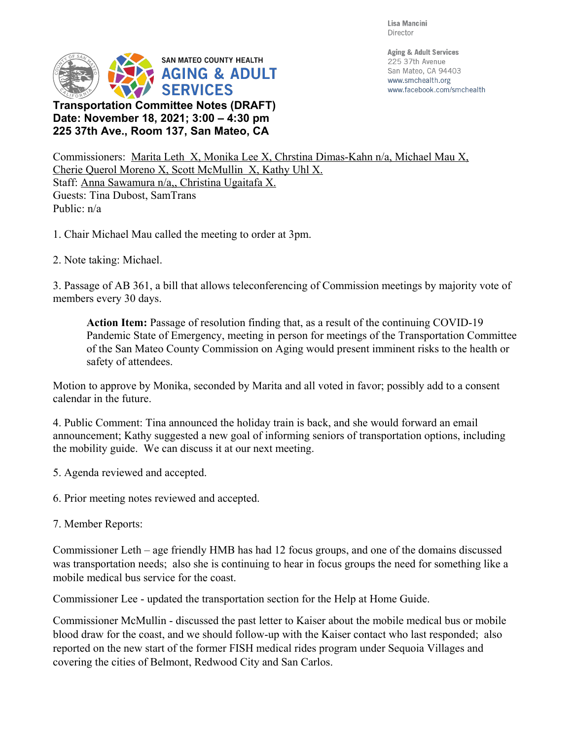Lisa Mancini Director



**225 37th Ave., Room 137, San Mateo, CA**

**Aging & Adult Services** 225 37th Avenue San Mateo, CA 94403 www.smchealth.org www.facebook.com/smchealth

Commissioners: Marita Leth X, Monika Lee X, Chrstina Dimas-Kahn n/a, Michael Mau X, Cherie Querol Moreno X, Scott McMullin X, Kathy Uhl X. Staff: Anna Sawamura n/a,, Christina Ugaitafa X. Guests: Tina Dubost, SamTrans Public: n/a

1. Chair Michael Mau called the meeting to order at 3pm.

2. Note taking: Michael.

3. Passage of AB 361, a bill that allows teleconferencing of Commission meetings by majority vote of members every 30 days.

**Action Item:** Passage of resolution finding that, as a result of the continuing COVID-19 Pandemic State of Emergency, meeting in person for meetings of the Transportation Committee of the San Mateo County Commission on Aging would present imminent risks to the health or safety of attendees.

Motion to approve by Monika, seconded by Marita and all voted in favor; possibly add to a consent calendar in the future.

4. Public Comment: Tina announced the holiday train is back, and she would forward an email announcement; Kathy suggested a new goal of informing seniors of transportation options, including the mobility guide. We can discuss it at our next meeting.

5. Agenda reviewed and accepted.

6. Prior meeting notes reviewed and accepted.

7. Member Reports:

Commissioner Leth – age friendly HMB has had 12 focus groups, and one of the domains discussed was transportation needs; also she is continuing to hear in focus groups the need for something like a mobile medical bus service for the coast.

Commissioner Lee - updated the transportation section for the Help at Home Guide.

Commissioner McMullin - discussed the past letter to Kaiser about the mobile medical bus or mobile blood draw for the coast, and we should follow-up with the Kaiser contact who last responded; also reported on the new start of the former FISH medical rides program under Sequoia Villages and covering the cities of Belmont, Redwood City and San Carlos.